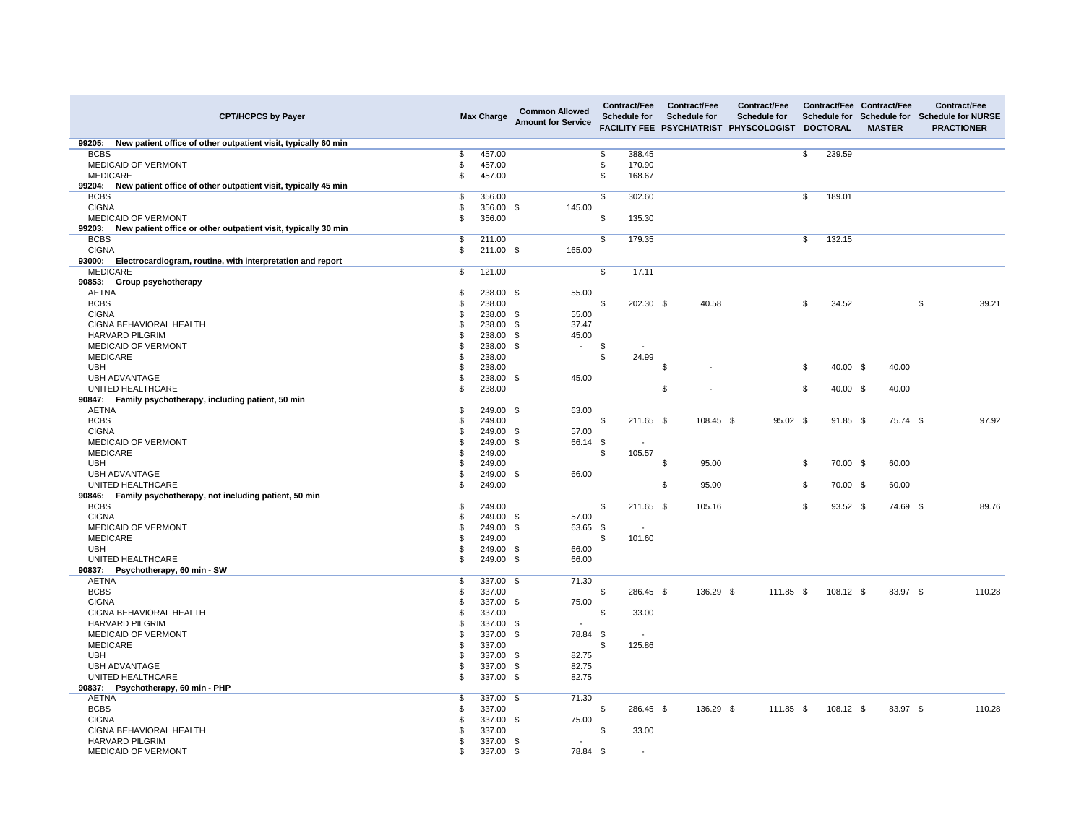| <b>CPT/HCPCS by Payer</b>                                                |     | <b>Max Charge</b> | <b>Common Allowed</b><br><b>Amount for Service</b> |     | <b>Contract/Fee</b><br><b>Schedule for</b> | <b>Contract/Fee</b><br><b>Schedule for</b><br><b>FACILITY FEE PSYCHIATRIST</b> | <b>Contract/Fee</b><br><b>Schedule for</b><br><b>PHYSCOLOGIST</b> |                         | <b>Schedule for</b><br><b>DOCTORAL</b> | <b>Contract/Fee Contract/Fee</b><br>Schedule for<br><b>MASTER</b> | <b>Contract/Fee</b><br><b>Schedule for NURSE</b><br><b>PRACTIONER</b> |
|--------------------------------------------------------------------------|-----|-------------------|----------------------------------------------------|-----|--------------------------------------------|--------------------------------------------------------------------------------|-------------------------------------------------------------------|-------------------------|----------------------------------------|-------------------------------------------------------------------|-----------------------------------------------------------------------|
| New patient office of other outpatient visit, typically 60 min<br>99205: |     |                   |                                                    |     |                                            |                                                                                |                                                                   |                         |                                        |                                                                   |                                                                       |
| <b>BCBS</b>                                                              |     | 457.00            |                                                    | \$  | 388.45                                     |                                                                                |                                                                   | \$                      | 239.59                                 |                                                                   |                                                                       |
| MEDICAID OF VERMONT                                                      |     | 457.00            |                                                    | \$  | 170.90                                     |                                                                                |                                                                   |                         |                                        |                                                                   |                                                                       |
| <b>MEDICARE</b>                                                          |     | 457.00            |                                                    | \$  | 168.67                                     |                                                                                |                                                                   |                         |                                        |                                                                   |                                                                       |
| New patient office of other outpatient visit, typically 45 min<br>99204: |     |                   |                                                    |     |                                            |                                                                                |                                                                   |                         |                                        |                                                                   |                                                                       |
| <b>BCBS</b>                                                              |     | 356.00            |                                                    | \$  | 302.60                                     |                                                                                |                                                                   | \$                      | 189.01                                 |                                                                   |                                                                       |
| <b>CIGNA</b>                                                             |     | 356.00 \$         | 145.00                                             |     |                                            |                                                                                |                                                                   |                         |                                        |                                                                   |                                                                       |
| <b>MEDICAID OF VERMONT</b>                                               |     | 356.00            |                                                    | \$  | 135.30                                     |                                                                                |                                                                   |                         |                                        |                                                                   |                                                                       |
| New patient office or other outpatient visit, typically 30 min<br>99203: |     |                   |                                                    |     |                                            |                                                                                |                                                                   |                         |                                        |                                                                   |                                                                       |
| <b>BCBS</b>                                                              | \$  | 211.00            |                                                    | \$  | 179.35                                     |                                                                                |                                                                   | \$                      | 132.15                                 |                                                                   |                                                                       |
| <b>CIGNA</b>                                                             |     | 211.00 \$         | 165.00                                             |     |                                            |                                                                                |                                                                   |                         |                                        |                                                                   |                                                                       |
| Electrocardiogram, routine, with interpretation and report<br>93000:     |     |                   |                                                    |     |                                            |                                                                                |                                                                   |                         |                                        |                                                                   |                                                                       |
| <b>MEDICARE</b>                                                          | \$  | 121.00            |                                                    | \$  | 17.11                                      |                                                                                |                                                                   |                         |                                        |                                                                   |                                                                       |
| 90853:<br><b>Group psychotherapy</b>                                     |     |                   |                                                    |     |                                            |                                                                                |                                                                   |                         |                                        |                                                                   |                                                                       |
| <b>AETNA</b>                                                             | \$. | 238.00 \$         | 55.00                                              |     |                                            |                                                                                |                                                                   |                         |                                        |                                                                   |                                                                       |
| <b>BCBS</b>                                                              |     | 238.00            |                                                    | \$  | 202.30 \$                                  | 40.58                                                                          |                                                                   | \$                      | 34.52                                  |                                                                   | \$<br>39.21                                                           |
| <b>CIGNA</b>                                                             |     | 238.00 \$         | 55.00                                              |     |                                            |                                                                                |                                                                   |                         |                                        |                                                                   |                                                                       |
| <b>CIGNA BEHAVIORAL HEALTH</b>                                           |     | 238.00 \$         | 37.47                                              |     |                                            |                                                                                |                                                                   |                         |                                        |                                                                   |                                                                       |
| <b>HARVARD PILGRIM</b>                                                   |     | 238.00            | 45.00<br>- \$                                      |     |                                            |                                                                                |                                                                   |                         |                                        |                                                                   |                                                                       |
| <b>MEDICAID OF VERMONT</b>                                               |     | 238.00 \$         | $\sim$                                             | \$  | $\sim$                                     |                                                                                |                                                                   |                         |                                        |                                                                   |                                                                       |
| <b>MEDICARE</b>                                                          |     | 238.00            |                                                    | \$  | 24.99                                      |                                                                                |                                                                   |                         |                                        |                                                                   |                                                                       |
| <b>UBH</b>                                                               |     | 238.00            |                                                    |     |                                            | \$<br>٠                                                                        |                                                                   | \$                      | 40.00 $$$                              | 40.00                                                             |                                                                       |
| <b>UBH ADVANTAGE</b>                                                     |     | 238.00 \$         | 45.00                                              |     |                                            |                                                                                |                                                                   |                         |                                        |                                                                   |                                                                       |
| UNITED HEALTHCARE                                                        |     | 238.00            |                                                    |     |                                            | \$                                                                             |                                                                   | \$                      | 40.00 $$$                              | 40.00                                                             |                                                                       |
| 90847: Family psychotherapy, including patient, 50 min                   |     |                   |                                                    |     |                                            |                                                                                |                                                                   |                         |                                        |                                                                   |                                                                       |
| <b>AETNA</b>                                                             |     | 249.00 \$         | 63.00                                              |     |                                            |                                                                                |                                                                   |                         |                                        |                                                                   |                                                                       |
| <b>BCBS</b>                                                              |     | 249.00            |                                                    | \$. | 211.65 \$                                  | 108.45 \$                                                                      | $95.02$ \$                                                        |                         | $91.85$ \$                             | 75.74 \$                                                          | 97.92                                                                 |
| <b>CIGNA</b>                                                             |     | 249.00 \$         | 57.00                                              |     |                                            |                                                                                |                                                                   |                         |                                        |                                                                   |                                                                       |
| <b>MEDICAID OF VERMONT</b>                                               |     | 249.00 \$         | 66.14 \$                                           |     | $\overline{\phantom{a}}$                   |                                                                                |                                                                   |                         |                                        |                                                                   |                                                                       |
| <b>MEDICARE</b>                                                          |     | 249.00            |                                                    | \$  | 105.57                                     |                                                                                |                                                                   |                         |                                        |                                                                   |                                                                       |
| <b>UBH</b>                                                               |     | 249.00            |                                                    |     |                                            | \$<br>95.00                                                                    |                                                                   | \$                      | 70.00 \$                               | 60.00                                                             |                                                                       |
| <b>UBH ADVANTAGE</b>                                                     | \$  | 249.00 \$         | 66.00                                              |     |                                            |                                                                                |                                                                   |                         |                                        |                                                                   |                                                                       |
| UNITED HEALTHCARE                                                        |     | 249.00            |                                                    |     |                                            | \$<br>95.00                                                                    |                                                                   | \$                      | 70.00 \$                               | 60.00                                                             |                                                                       |
| Family psychotherapy, not including patient, 50 min<br>90846:            |     |                   |                                                    |     |                                            |                                                                                |                                                                   |                         |                                        |                                                                   |                                                                       |
| <b>BCBS</b>                                                              |     | 249.00            |                                                    | \$  | 211.65 \$                                  | 105.16                                                                         |                                                                   | $\sqrt[6]{\frac{1}{2}}$ | 93.52 \$                               | 74.69 \$                                                          | 89.76                                                                 |
| <b>CIGNA</b>                                                             |     | 249.00 \$         | 57.00                                              |     |                                            |                                                                                |                                                                   |                         |                                        |                                                                   |                                                                       |
| MEDICAID OF VERMONT                                                      |     | 249.00 \$         | 63.65 \$                                           |     | $\sim$                                     |                                                                                |                                                                   |                         |                                        |                                                                   |                                                                       |
| <b>MEDICARE</b>                                                          |     | 249.00            |                                                    | \$  | 101.60                                     |                                                                                |                                                                   |                         |                                        |                                                                   |                                                                       |
| <b>UBH</b>                                                               |     | 249.00 \$         | 66.00                                              |     |                                            |                                                                                |                                                                   |                         |                                        |                                                                   |                                                                       |
| UNITED HEALTHCARE                                                        |     | 249.00 \$         | 66.00                                              |     |                                            |                                                                                |                                                                   |                         |                                        |                                                                   |                                                                       |
| 90837:<br>Psychotherapy, 60 min - SW                                     |     |                   |                                                    |     |                                            |                                                                                |                                                                   |                         |                                        |                                                                   |                                                                       |
| <b>AETNA</b>                                                             |     | 337.00 \$         | 71.30                                              |     |                                            |                                                                                |                                                                   |                         |                                        |                                                                   |                                                                       |
| <b>BCBS</b>                                                              |     | 337.00            |                                                    | \$. | 286.45 \$                                  | 136.29 \$                                                                      | $111.85$ \$                                                       |                         | $108.12$ \$                            | 83.97 \$                                                          | 110.28                                                                |
| <b>CIGNA</b>                                                             |     | 337.00 \$         | 75.00                                              |     |                                            |                                                                                |                                                                   |                         |                                        |                                                                   |                                                                       |
| CIGNA BEHAVIORAL HEALTH                                                  |     | 337.00            |                                                    | \$  | 33.00                                      |                                                                                |                                                                   |                         |                                        |                                                                   |                                                                       |
| <b>HARVARD PILGRIM</b>                                                   |     | 337.00 \$         | $\sim$                                             |     |                                            |                                                                                |                                                                   |                         |                                        |                                                                   |                                                                       |
| <b>MEDICAID OF VERMONT</b>                                               |     | 337.00 \$         | 78.84 \$                                           |     |                                            |                                                                                |                                                                   |                         |                                        |                                                                   |                                                                       |
| <b>MEDICARE</b>                                                          |     | 337.00            |                                                    | \$  | 125.86                                     |                                                                                |                                                                   |                         |                                        |                                                                   |                                                                       |
| <b>UBH</b>                                                               |     | 337.00 \$         | 82.75                                              |     |                                            |                                                                                |                                                                   |                         |                                        |                                                                   |                                                                       |
| <b>UBH ADVANTAGE</b>                                                     |     | 337.00 \$         | 82.75                                              |     |                                            |                                                                                |                                                                   |                         |                                        |                                                                   |                                                                       |
| UNITED HEALTHCARE                                                        |     | 337.00 \$         | 82.75                                              |     |                                            |                                                                                |                                                                   |                         |                                        |                                                                   |                                                                       |
| Psychotherapy, 60 min - PHP<br>90837:                                    |     |                   |                                                    |     |                                            |                                                                                |                                                                   |                         |                                        |                                                                   |                                                                       |
| <b>AETNA</b>                                                             |     | 337.00 \$         | 71.30                                              |     |                                            |                                                                                |                                                                   |                         |                                        |                                                                   |                                                                       |
| <b>BCBS</b>                                                              |     | 337.00            |                                                    | \$  | 286.45 \$                                  | 136.29 \$                                                                      | $111.85$ \$                                                       |                         | $108.12$ \$                            | 83.97 \$                                                          | 110.28                                                                |
| <b>CIGNA</b>                                                             |     | 337.00 \$         | 75.00                                              |     |                                            |                                                                                |                                                                   |                         |                                        |                                                                   |                                                                       |
| CIGNA BEHAVIORAL HEALTH                                                  |     | 337.00            |                                                    | \$  | 33.00                                      |                                                                                |                                                                   |                         |                                        |                                                                   |                                                                       |
| <b>HARVARD PILGRIM</b>                                                   |     | 337.00 \$         |                                                    |     |                                            |                                                                                |                                                                   |                         |                                        |                                                                   |                                                                       |
| MEDICAID OF VERMONT                                                      |     | 337.00 \$         | 78.84 \$                                           |     | $\sim$                                     |                                                                                |                                                                   |                         |                                        |                                                                   |                                                                       |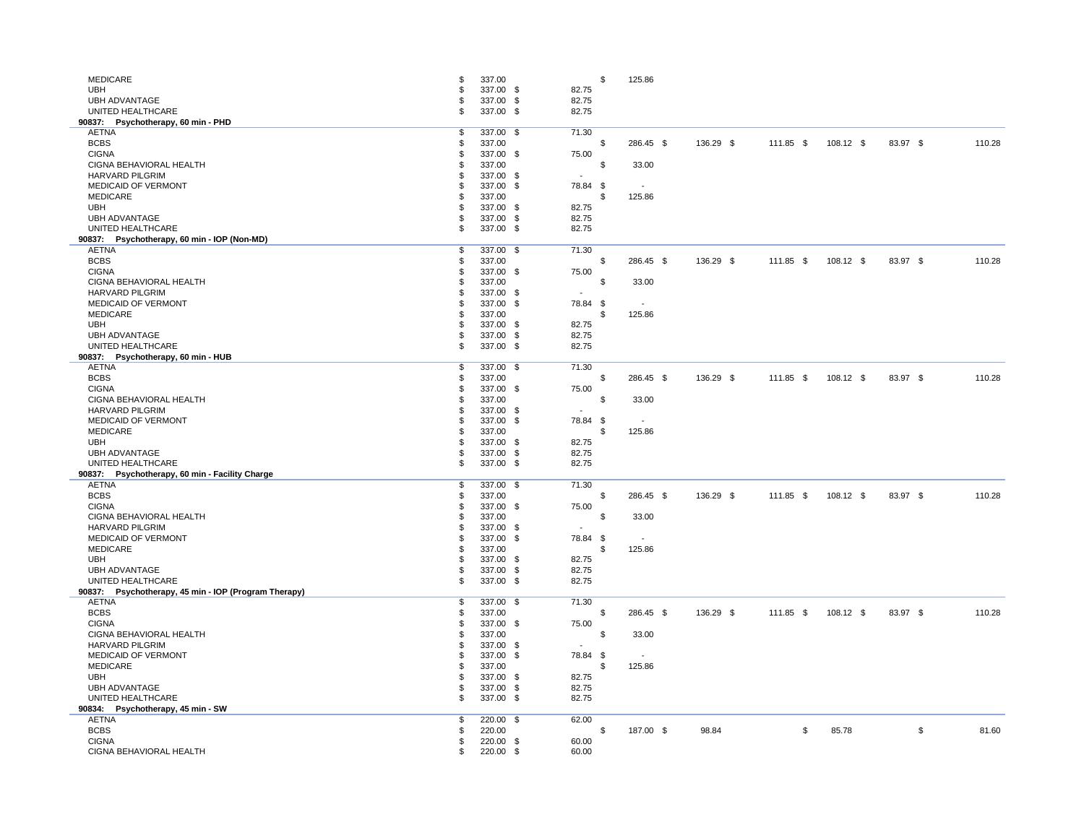| <b>MEDICARE</b>                                                |     | 337.00    | \$                       | 125.86    |           |               |             |          |        |
|----------------------------------------------------------------|-----|-----------|--------------------------|-----------|-----------|---------------|-------------|----------|--------|
| <b>UBH</b>                                                     |     | 337.00 \$ | 82.75                    |           |           |               |             |          |        |
| <b>UBH ADVANTAGE</b>                                           |     | 337.00 \$ | 82.75                    |           |           |               |             |          |        |
| UNITED HEALTHCARE                                              |     | 337.00 \$ | 82.75                    |           |           |               |             |          |        |
| 90837:<br>Psychotherapy, 60 min - PHD                          |     |           |                          |           |           |               |             |          |        |
| <b>AETNA</b>                                                   |     | 337.00 \$ | 71.30                    |           |           |               |             |          |        |
| <b>BCBS</b>                                                    |     | 337.00    | -\$                      | 286.45 \$ | 136.29 \$ | $111.85$ \$   | 108.12 \$   | 83.97 \$ | 110.28 |
| <b>CIGNA</b>                                                   |     | 337.00 \$ | 75.00                    |           |           |               |             |          |        |
| CIGNA BEHAVIORAL HEALTH                                        |     | 337.00    | \$                       | 33.00     |           |               |             |          |        |
| <b>HARVARD PILGRIM</b>                                         |     | 337.00 \$ | $\sim$                   |           |           |               |             |          |        |
| <b>MEDICAID OF VERMONT</b>                                     |     | 337.00 \$ | 78.84 \$                 |           |           |               |             |          |        |
| <b>MEDICARE</b>                                                |     | 337.00    | .\$                      | 125.86    |           |               |             |          |        |
| <b>UBH</b>                                                     |     | 337.00 \$ | 82.75                    |           |           |               |             |          |        |
| <b>UBH ADVANTAGE</b>                                           |     | 337.00 \$ | 82.75                    |           |           |               |             |          |        |
| UNITED HEALTHCARE                                              |     | 337.00 \$ | 82.75                    |           |           |               |             |          |        |
| 90837: Psychotherapy, 60 min - IOP (Non-MD)                    |     |           |                          |           |           |               |             |          |        |
| <b>AETNA</b>                                                   | \$  | 337.00 \$ | 71.30                    |           |           |               |             |          |        |
| <b>BCBS</b>                                                    |     | 337.00    | -\$                      | 286.45 \$ | 136.29 \$ | $111.85$ \$   | $108.12$ \$ | 83.97 \$ | 110.28 |
| <b>CIGNA</b>                                                   |     | 337.00 \$ | 75.00                    |           |           |               |             |          |        |
| CIGNA BEHAVIORAL HEALTH                                        |     | 337.00    | -\$                      | 33.00     |           |               |             |          |        |
| <b>HARVARD PILGRIM</b>                                         |     | 337.00 \$ | $\sim$                   |           |           |               |             |          |        |
| <b>MEDICAID OF VERMONT</b>                                     |     | 337.00 \$ | 78.84 \$                 | $\sim$    |           |               |             |          |        |
| <b>MEDICARE</b>                                                |     | 337.00    | .\$                      | 125.86    |           |               |             |          |        |
| <b>UBH</b>                                                     |     | 337.00 \$ | 82.75                    |           |           |               |             |          |        |
| <b>UBH ADVANTAGE</b>                                           |     | 337.00 \$ | 82.75                    |           |           |               |             |          |        |
| UNITED HEALTHCARE                                              |     | 337.00 \$ | 82.75                    |           |           |               |             |          |        |
| Psychotherapy, 60 min - HUB<br>90837:                          |     |           |                          |           |           |               |             |          |        |
| <b>AETNA</b>                                                   |     | 337.00 \$ | 71.30                    |           |           |               |             |          |        |
| <b>BCBS</b>                                                    |     | 337.00    | -\$                      | 286.45 \$ | 136.29 \$ | 111.85 \$     | $108.12$ \$ | 83.97 \$ | 110.28 |
| <b>CIGNA</b>                                                   |     | 337.00 \$ | 75.00                    |           |           |               |             |          |        |
| CIGNA BEHAVIORAL HEALTH                                        |     | 337.00    | \$                       | 33.00     |           |               |             |          |        |
| <b>HARVARD PILGRIM</b>                                         |     | 337.00 \$ | $\sim$                   |           |           |               |             |          |        |
| MEDICAID OF VERMONT                                            |     | 337.00 \$ | 78.84 \$                 |           |           |               |             |          |        |
| <b>MEDICARE</b>                                                |     | 337.00    | -\$                      | 125.86    |           |               |             |          |        |
| <b>UBH</b>                                                     |     | 337.00 \$ | 82.75                    |           |           |               |             |          |        |
| <b>UBH ADVANTAGE</b>                                           |     | 337.00 \$ | 82.75                    |           |           |               |             |          |        |
| UNITED HEALTHCARE                                              | .S  | 337.00 \$ | 82.75                    |           |           |               |             |          |        |
| 90837: Psychotherapy, 60 min - Facility Charge<br><b>AETNA</b> | \$. | 337.00 \$ | 71.30                    |           |           |               |             |          |        |
| <b>BCBS</b>                                                    |     | 337.00    | -\$                      | 286.45 \$ | 136.29 \$ | 111.85 \$     | $108.12$ \$ | 83.97 \$ | 110.28 |
| <b>CIGNA</b>                                                   |     | 337.00 \$ | 75.00                    |           |           |               |             |          |        |
| CIGNA BEHAVIORAL HEALTH                                        |     | 337.00    | \$                       | 33.00     |           |               |             |          |        |
| <b>HARVARD PILGRIM</b>                                         |     | 337.00 \$ | $\sim$                   |           |           |               |             |          |        |
| <b>MEDICAID OF VERMONT</b>                                     |     | 337.00 \$ | 78.84 \$                 | $\sim$    |           |               |             |          |        |
| <b>MEDICARE</b>                                                |     | 337.00    | .\$                      | 125.86    |           |               |             |          |        |
| <b>UBH</b>                                                     |     | 337.00 \$ | 82.75                    |           |           |               |             |          |        |
| <b>UBH ADVANTAGE</b>                                           |     | 337.00 \$ | 82.75                    |           |           |               |             |          |        |
| UNITED HEALTHCARE                                              |     | 337.00 \$ | 82.75                    |           |           |               |             |          |        |
| 90837: Psychotherapy, 45 min - IOP (Program Therapy)           |     |           |                          |           |           |               |             |          |        |
| <b>AETNA</b>                                                   |     | 337.00 \$ | 71.30                    |           |           |               |             |          |        |
| <b>BCBS</b>                                                    |     | 337.00    | -\$                      | 286.45 \$ | 136.29 \$ | 111.85 \$     | $108.12$ \$ | 83.97 \$ | 110.28 |
| <b>CIGNA</b>                                                   |     | 337.00 \$ | 75.00                    |           |           |               |             |          |        |
| CIGNA BEHAVIORAL HEALTH                                        |     | 337.00    | -\$                      | 33.00     |           |               |             |          |        |
| HARVARD PILGRIM                                                |     | 337.00 \$ | $\overline{\phantom{a}}$ |           |           |               |             |          |        |
| <b>MEDICAID OF VERMONT</b>                                     |     | 337.00 \$ | 78.84 \$                 |           |           |               |             |          |        |
| <b>MEDICARE</b>                                                |     | 337.00    | \$                       | 125.86    |           |               |             |          |        |
| <b>UBH</b>                                                     |     | 337.00 \$ | 82.75                    |           |           |               |             |          |        |
| <b>UBH ADVANTAGE</b>                                           |     | 337.00 \$ | 82.75                    |           |           |               |             |          |        |
| UNITED HEALTHCARE                                              |     | 337.00 \$ | 82.75                    |           |           |               |             |          |        |
| 90834: Psychotherapy, 45 min - SW                              |     |           |                          |           |           |               |             |          |        |
| <b>AETNA</b>                                                   | .S  | 220.00 \$ | 62.00                    |           |           |               |             |          |        |
| <b>BCBS</b>                                                    |     | 220.00    |                          | 187.00 \$ | 98.84     | $\frac{1}{2}$ | 85.78       | \$       | 81.60  |
| <b>CIGNA</b>                                                   |     | 220.00 \$ | 60.00                    |           |           |               |             |          |        |
| CIGNA BEHAVIORAL HEALTH                                        |     | 220.00 \$ | 60.00                    |           |           |               |             |          |        |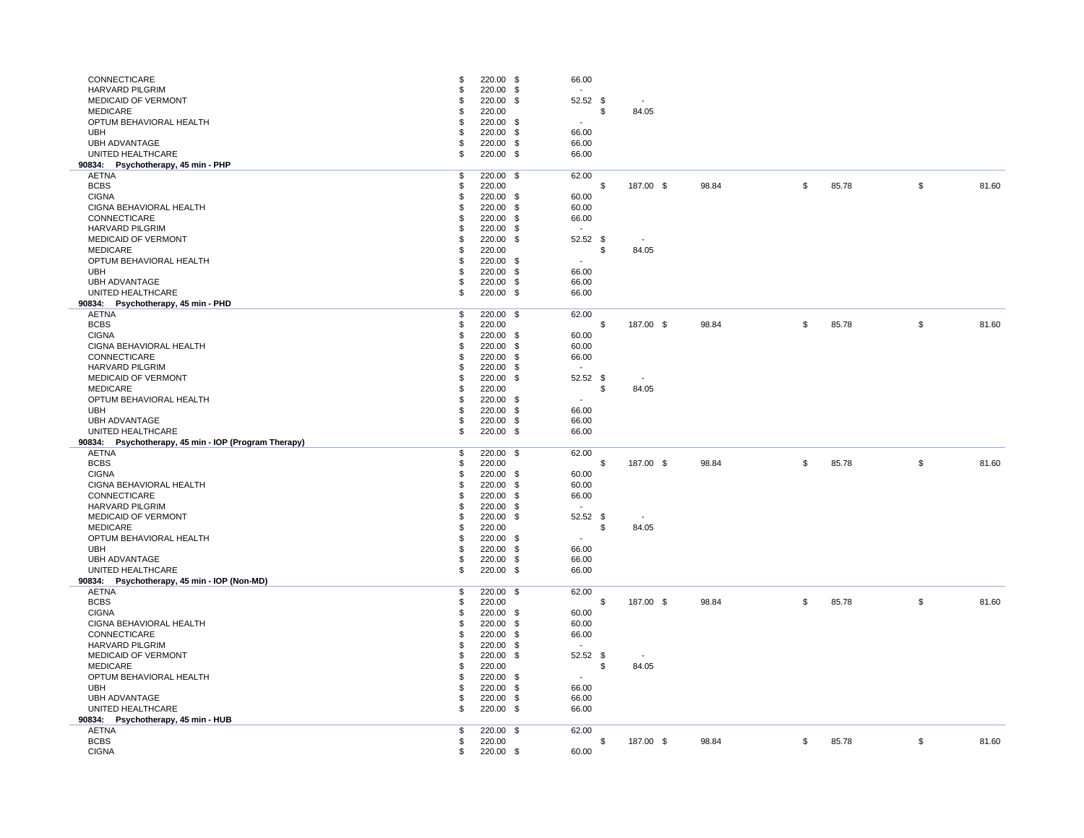| CONNECTICARE<br><b>HARVARD PILGRIM</b><br><b>MEDICAID OF VERMONT</b><br><b>MEDICARE</b><br>OPTUM BEHAVIORAL HEALTH<br><b>UBH</b><br><b>UBH ADVANTAGE</b><br>UNITED HEALTHCARE | S<br>\$<br>\$ | 220.00 \$<br>220.00 \$<br>220.00 \$<br>220.00<br>220.00 \$<br>220.00 \$<br>220.00 \$<br>220.00 \$ | 66.00<br>$\sim$<br>52.52 \$<br>\$<br>$\sim$<br>66.00<br>66.00<br>66.00 | $\sim$<br>84.05          |       |                           |       |                            |       |
|-------------------------------------------------------------------------------------------------------------------------------------------------------------------------------|---------------|---------------------------------------------------------------------------------------------------|------------------------------------------------------------------------|--------------------------|-------|---------------------------|-------|----------------------------|-------|
| 90834: Psychotherapy, 45 min - PHP<br><b>AETNA</b>                                                                                                                            | \$            | 220.00 \$                                                                                         | 62.00                                                                  |                          |       |                           |       |                            |       |
| <b>BCBS</b>                                                                                                                                                                   |               | 220.00                                                                                            |                                                                        | 187.00 \$                | 98.84 | $\boldsymbol{\mathsf{S}}$ | 85.78 | $\boldsymbol{\mathsf{D}}$  | 81.60 |
| <b>CIGNA</b>                                                                                                                                                                  |               | 220.00 \$                                                                                         | 60.00                                                                  |                          |       |                           |       |                            |       |
| CIGNA BEHAVIORAL HEALTH                                                                                                                                                       |               | 220.00 \$                                                                                         | 60.00                                                                  |                          |       |                           |       |                            |       |
| CONNECTICARE                                                                                                                                                                  |               | 220.00 \$                                                                                         | 66.00                                                                  |                          |       |                           |       |                            |       |
| <b>HARVARD PILGRIM</b>                                                                                                                                                        |               | 220.00 \$                                                                                         | $\sim$                                                                 |                          |       |                           |       |                            |       |
| <b>MEDICAID OF VERMONT</b>                                                                                                                                                    |               | 220.00 \$                                                                                         | $52.52$ \$                                                             | $\sim$                   |       |                           |       |                            |       |
| <b>MEDICARE</b>                                                                                                                                                               |               | 220.00                                                                                            | \$                                                                     | 84.05                    |       |                           |       |                            |       |
| OPTUM BEHAVIORAL HEALTH<br><b>UBH</b>                                                                                                                                         | S             | 220.00 \$<br>220.00 \$                                                                            | $\overline{\phantom{a}}$<br>66.00                                      |                          |       |                           |       |                            |       |
| <b>UBH ADVANTAGE</b>                                                                                                                                                          |               | 220.00 \$                                                                                         | 66.00                                                                  |                          |       |                           |       |                            |       |
| UNITED HEALTHCARE                                                                                                                                                             | \$            | 220.00 \$                                                                                         | 66.00                                                                  |                          |       |                           |       |                            |       |
| Psychotherapy, 45 min - PHD<br>90834:                                                                                                                                         |               |                                                                                                   |                                                                        |                          |       |                           |       |                            |       |
| <b>AETNA</b>                                                                                                                                                                  | \$            | 220.00 \$                                                                                         | 62.00                                                                  |                          |       |                           |       |                            |       |
| <b>BCBS</b>                                                                                                                                                                   |               | 220.00                                                                                            |                                                                        | 187.00 \$                | 98.84 | \$                        | 85.78 | \$                         | 81.60 |
| <b>CIGNA</b>                                                                                                                                                                  |               | 220.00 \$                                                                                         | 60.00                                                                  |                          |       |                           |       |                            |       |
| CIGNA BEHAVIORAL HEALTH                                                                                                                                                       |               | 220.00 \$                                                                                         | 60.00                                                                  |                          |       |                           |       |                            |       |
| CONNECTICARE                                                                                                                                                                  |               | 220.00 \$                                                                                         | 66.00                                                                  |                          |       |                           |       |                            |       |
| <b>HARVARD PILGRIM</b>                                                                                                                                                        |               | 220.00 \$                                                                                         | $\sim$                                                                 |                          |       |                           |       |                            |       |
| <b>MEDICAID OF VERMONT</b>                                                                                                                                                    |               | 220.00 \$                                                                                         | $52.52$ \$                                                             | $\sim$                   |       |                           |       |                            |       |
| <b>MEDICARE</b>                                                                                                                                                               |               | 220.00                                                                                            | \$                                                                     | 84.05                    |       |                           |       |                            |       |
| OPTUM BEHAVIORAL HEALTH                                                                                                                                                       |               | 220.00 \$                                                                                         | $\overline{\phantom{a}}$                                               |                          |       |                           |       |                            |       |
| <b>UBH</b>                                                                                                                                                                    |               | 220.00 \$                                                                                         | 66.00                                                                  |                          |       |                           |       |                            |       |
| <b>UBH ADVANTAGE</b>                                                                                                                                                          |               | 220.00<br>- \$                                                                                    | 66.00                                                                  |                          |       |                           |       |                            |       |
| UNITED HEALTHCARE                                                                                                                                                             | \$            | 220.00 \$                                                                                         | 66.00                                                                  |                          |       |                           |       |                            |       |
| 90834: Psychotherapy, 45 min - IOP (Program Therapy)<br><b>AETNA</b>                                                                                                          | \$            | 220.00 \$                                                                                         | 62.00                                                                  |                          |       |                           |       |                            |       |
| <b>BCBS</b>                                                                                                                                                                   |               | 220.00                                                                                            |                                                                        | 187.00 \$                | 98.84 | \$                        | 85.78 | $\boldsymbol{\mathsf{\$}}$ | 81.60 |
| <b>CIGNA</b>                                                                                                                                                                  |               | 220.00 \$                                                                                         | 60.00                                                                  |                          |       |                           |       |                            |       |
| CIGNA BEHAVIORAL HEALTH                                                                                                                                                       |               | 220.00 \$                                                                                         | 60.00                                                                  |                          |       |                           |       |                            |       |
| CONNECTICARE                                                                                                                                                                  |               | 220.00 \$                                                                                         | 66.00                                                                  |                          |       |                           |       |                            |       |
| <b>HARVARD PILGRIM</b>                                                                                                                                                        |               | 220.00 \$                                                                                         | $\sim$                                                                 |                          |       |                           |       |                            |       |
| <b>MEDICAID OF VERMONT</b>                                                                                                                                                    |               | 220.00 \$                                                                                         | $52.52$ \$                                                             | $\sim$                   |       |                           |       |                            |       |
| <b>MEDICARE</b>                                                                                                                                                               |               | 220.00                                                                                            | \$                                                                     | 84.05                    |       |                           |       |                            |       |
| OPTUM BEHAVIORAL HEALTH                                                                                                                                                       |               | 220.00 \$                                                                                         | $\blacksquare$                                                         |                          |       |                           |       |                            |       |
| <b>UBH</b>                                                                                                                                                                    |               | 220.00 \$                                                                                         | 66.00                                                                  |                          |       |                           |       |                            |       |
| <b>UBH ADVANTAGE</b>                                                                                                                                                          |               | 220.00 \$                                                                                         | 66.00                                                                  |                          |       |                           |       |                            |       |
| UNITED HEALTHCARE                                                                                                                                                             | \$            | 220.00 \$                                                                                         | 66.00                                                                  |                          |       |                           |       |                            |       |
| 90834: Psychotherapy, 45 min - IOP (Non-MD)                                                                                                                                   |               |                                                                                                   |                                                                        |                          |       |                           |       |                            |       |
| <b>AETNA</b>                                                                                                                                                                  | \$            | 220.00 \$                                                                                         | 62.00                                                                  |                          |       |                           |       |                            |       |
| <b>BCBS</b>                                                                                                                                                                   |               | 220.00                                                                                            |                                                                        | 187.00 \$                | 98.84 | $\frac{1}{2}$             | 85.78 | $\frac{1}{2}$              | 81.60 |
| <b>CIGNA</b>                                                                                                                                                                  |               | 220.00 \$                                                                                         | 60.00                                                                  |                          |       |                           |       |                            |       |
| CIGNA BEHAVIORAL HEALTH<br>CONNECTICARE                                                                                                                                       |               | 220.00 \$                                                                                         | 60.00                                                                  |                          |       |                           |       |                            |       |
| <b>HARVARD PILGRIM</b>                                                                                                                                                        |               | 220.00 \$<br>220.00 \$                                                                            | 66.00<br>$\overline{\phantom{a}}$                                      |                          |       |                           |       |                            |       |
| <b>MEDICAID OF VERMONT</b>                                                                                                                                                    |               | 220.00 \$                                                                                         | $52.52$ \$                                                             | $\overline{\phantom{a}}$ |       |                           |       |                            |       |
| <b>MEDICARE</b>                                                                                                                                                               |               | 220.00                                                                                            | \$                                                                     | 84.05                    |       |                           |       |                            |       |
| OPTUM BEHAVIORAL HEALTH                                                                                                                                                       |               | 220.00 \$                                                                                         | $\sim$                                                                 |                          |       |                           |       |                            |       |
| <b>UBH</b>                                                                                                                                                                    |               | 220.00 \$                                                                                         | 66.00                                                                  |                          |       |                           |       |                            |       |
| <b>UBH ADVANTAGE</b>                                                                                                                                                          |               | 220.00 \$                                                                                         | 66.00                                                                  |                          |       |                           |       |                            |       |
| UNITED HEALTHCARE                                                                                                                                                             | \$            | 220.00 \$                                                                                         | 66.00                                                                  |                          |       |                           |       |                            |       |
| 90834:<br>Psychotherapy, 45 min - HUB                                                                                                                                         |               |                                                                                                   |                                                                        |                          |       |                           |       |                            |       |
| <b>AETNA</b>                                                                                                                                                                  | \$            | 220.00 \$                                                                                         | 62.00                                                                  |                          |       |                           |       |                            |       |
| <b>BCBS</b>                                                                                                                                                                   |               | 220.00                                                                                            |                                                                        | 187.00 \$                | 98.84 | $\sqrt[6]{\frac{1}{2}}$   | 85.78 | $\boldsymbol{\mathsf{S}}$  | 81.60 |
| <b>CIGNA</b>                                                                                                                                                                  |               | 220.00 \$                                                                                         | 60.00                                                                  |                          |       |                           |       |                            |       |

| \$                | 85.78 | \$<br>81.60 |
|-------------------|-------|-------------|
|                   |       |             |
| \$                | 85.78 | \$<br>81.60 |
| \$                | 85.78 | \$<br>81.60 |
| $\boldsymbol{\$}$ | 85.78 | \$<br>81.60 |
|                   |       |             |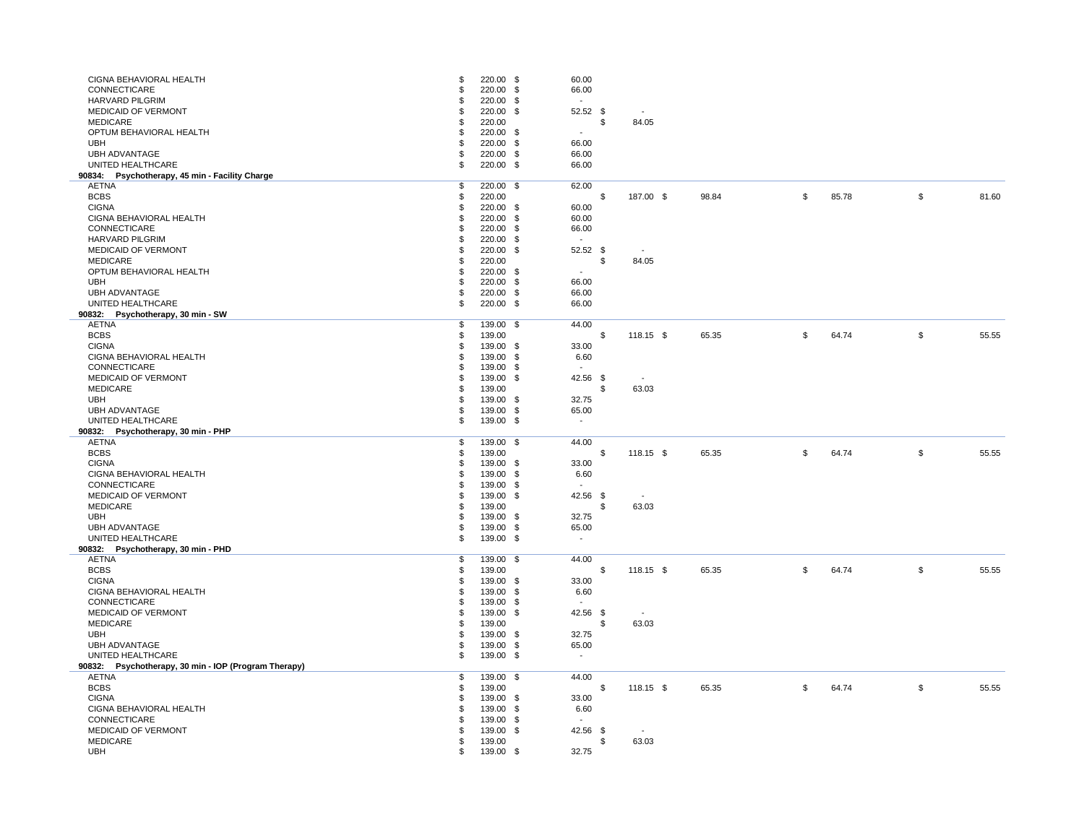| CIGNA BEHAVIORAL HEALTH                              | \$. | 220.00 \$ | 60.00                    |     |             |       |               |       |                           |       |
|------------------------------------------------------|-----|-----------|--------------------------|-----|-------------|-------|---------------|-------|---------------------------|-------|
| CONNECTICARE                                         | \$  | 220.00 \$ | 66.00                    |     |             |       |               |       |                           |       |
|                                                      |     |           |                          |     |             |       |               |       |                           |       |
| <b>HARVARD PILGRIM</b>                               |     | 220.00 \$ | $\sim$                   |     |             |       |               |       |                           |       |
| <b>MEDICAID OF VERMONT</b>                           |     | 220.00 \$ | $52.52$ \$               |     | $\sim$      |       |               |       |                           |       |
| <b>MEDICARE</b>                                      |     | 220.00    |                          | -\$ | 84.05       |       |               |       |                           |       |
| OPTUM BEHAVIORAL HEALTH                              |     | 220.00 \$ | $\sim$                   |     |             |       |               |       |                           |       |
| <b>UBH</b>                                           |     | 220.00 \$ | 66.00                    |     |             |       |               |       |                           |       |
|                                                      |     |           |                          |     |             |       |               |       |                           |       |
| <b>UBH ADVANTAGE</b>                                 |     | 220.00 \$ | 66.00                    |     |             |       |               |       |                           |       |
| UNITED HEALTHCARE                                    | \$  | 220.00 \$ | 66.00                    |     |             |       |               |       |                           |       |
| 90834: Psychotherapy, 45 min - Facility Charge       |     |           |                          |     |             |       |               |       |                           |       |
| <b>AETNA</b>                                         | \$  | 220.00 \$ | 62.00                    |     |             |       |               |       |                           |       |
| <b>BCBS</b>                                          |     | 220.00    |                          |     | 187.00 \$   | 98.84 | \$            | 85.78 | \$                        | 81.60 |
| <b>CIGNA</b>                                         |     | 220.00 \$ | 60.00                    |     |             |       |               |       |                           |       |
|                                                      |     |           |                          |     |             |       |               |       |                           |       |
| CIGNA BEHAVIORAL HEALTH                              |     | 220.00 \$ | 60.00                    |     |             |       |               |       |                           |       |
| CONNECTICARE                                         |     | 220.00 \$ | 66.00                    |     |             |       |               |       |                           |       |
| <b>HARVARD PILGRIM</b>                               |     | 220.00 \$ | $\sim$                   |     |             |       |               |       |                           |       |
| <b>MEDICAID OF VERMONT</b>                           |     | 220.00 \$ | 52.52 \$                 |     | $\sim$      |       |               |       |                           |       |
| <b>MEDICARE</b>                                      |     | 220.00    |                          |     | 84.05       |       |               |       |                           |       |
| OPTUM BEHAVIORAL HEALTH                              |     | 220.00 \$ |                          |     |             |       |               |       |                           |       |
|                                                      | S   |           | $\overline{\phantom{a}}$ |     |             |       |               |       |                           |       |
| <b>UBH</b>                                           |     | 220.00 \$ | 66.00                    |     |             |       |               |       |                           |       |
| <b>UBH ADVANTAGE</b>                                 |     | 220.00 \$ | 66.00                    |     |             |       |               |       |                           |       |
| UNITED HEALTHCARE                                    | \$  | 220.00 \$ | 66.00                    |     |             |       |               |       |                           |       |
| 90832: Psychotherapy, 30 min - SW                    |     |           |                          |     |             |       |               |       |                           |       |
| <b>AETNA</b>                                         | \$  | 139.00 \$ | 44.00                    |     |             |       |               |       |                           |       |
|                                                      |     |           |                          |     |             |       |               |       |                           |       |
| <b>BCBS</b>                                          |     | 139.00    |                          |     | $118.15$ \$ | 65.35 | $\$\$         | 64.74 | $\boldsymbol{\mathsf{D}}$ | 55.55 |
| <b>CIGNA</b>                                         |     | 139.00 \$ | 33.00                    |     |             |       |               |       |                           |       |
| CIGNA BEHAVIORAL HEALTH                              |     | 139.00 \$ | 6.60                     |     |             |       |               |       |                           |       |
| CONNECTICARE                                         |     | 139.00 \$ |                          |     |             |       |               |       |                           |       |
| <b>MEDICAID OF VERMONT</b>                           |     | 139.00 \$ | 42.56 \$                 |     | $\sim$      |       |               |       |                           |       |
|                                                      |     |           |                          |     |             |       |               |       |                           |       |
| <b>MEDICARE</b>                                      |     | 139.00    |                          |     | 63.03       |       |               |       |                           |       |
| <b>UBH</b>                                           |     | 139.00 \$ | 32.75                    |     |             |       |               |       |                           |       |
| <b>UBH ADVANTAGE</b>                                 |     | 139.00 \$ | 65.00                    |     |             |       |               |       |                           |       |
| UNITED HEALTHCARE                                    | \$  | 139.00 \$ | $\sim$                   |     |             |       |               |       |                           |       |
| 90832:<br>Psychotherapy, 30 min - PHP                |     |           |                          |     |             |       |               |       |                           |       |
| <b>AETNA</b>                                         | \$  | 139.00 \$ | 44.00                    |     |             |       |               |       |                           |       |
|                                                      |     |           |                          |     |             |       |               |       |                           |       |
| <b>BCBS</b>                                          | \$  | 139.00    |                          |     | $118.15$ \$ | 65.35 | \$            | 64.74 | \$                        | 55.55 |
| <b>CIGNA</b>                                         |     | 139.00 \$ | 33.00                    |     |             |       |               |       |                           |       |
| CIGNA BEHAVIORAL HEALTH                              |     | 139.00 \$ | 6.60                     |     |             |       |               |       |                           |       |
| CONNECTICARE                                         |     | 139.00 \$ | $\sim$                   |     |             |       |               |       |                           |       |
| <b>MEDICAID OF VERMONT</b>                           |     | 139.00 \$ | 42.56 \$                 |     | $\sim$      |       |               |       |                           |       |
|                                                      |     |           |                          |     |             |       |               |       |                           |       |
| <b>MEDICARE</b>                                      |     | 139.00    |                          |     | 63.03       |       |               |       |                           |       |
| <b>UBH</b>                                           |     | 139.00 \$ | 32.75                    |     |             |       |               |       |                           |       |
| <b>UBH ADVANTAGE</b>                                 |     | 139.00 \$ | 65.00                    |     |             |       |               |       |                           |       |
| UNITED HEALTHCARE                                    | \$  | 139.00 \$ | $\sim$                   |     |             |       |               |       |                           |       |
| 90832:<br>Psychotherapy, 30 min - PHD                |     |           |                          |     |             |       |               |       |                           |       |
| <b>AETNA</b>                                         | \$  | 139.00 \$ | 44.00                    |     |             |       |               |       |                           |       |
|                                                      |     |           |                          |     |             |       |               |       |                           |       |
| <b>BCBS</b>                                          |     | 139.00    |                          |     | $118.15$ \$ | 65.35 | \$            | 64.74 | \$                        | 55.55 |
| <b>CIGNA</b>                                         |     | 139.00 \$ | 33.00                    |     |             |       |               |       |                           |       |
| CIGNA BEHAVIORAL HEALTH                              | P   | 139.00 \$ | 6.60                     |     |             |       |               |       |                           |       |
| CONNECTICARE                                         |     | 139.00 \$ |                          |     |             |       |               |       |                           |       |
| <b>MEDICAID OF VERMONT</b>                           |     | 139.00 \$ | 42.56 \$                 |     | $\sim$      |       |               |       |                           |       |
|                                                      |     |           |                          |     |             |       |               |       |                           |       |
| <b>MEDICARE</b>                                      |     | 139.00    |                          |     | 63.03       |       |               |       |                           |       |
| <b>UBH</b>                                           |     | 139.00 \$ | 32.75                    |     |             |       |               |       |                           |       |
| <b>UBH ADVANTAGE</b>                                 |     | 139.00 \$ | 65.00                    |     |             |       |               |       |                           |       |
| UNITED HEALTHCARE                                    | \$  | 139.00 \$ | $\sim$                   |     |             |       |               |       |                           |       |
| 90832: Psychotherapy, 30 min - IOP (Program Therapy) |     |           |                          |     |             |       |               |       |                           |       |
|                                                      |     |           |                          |     |             |       |               |       |                           |       |
| <b>AETNA</b>                                         | \$  | 139.00 \$ | 44.00                    |     |             |       |               |       |                           |       |
| <b>BCBS</b>                                          | S   | 139.00    |                          |     | $118.15$ \$ | 65.35 | $\frac{1}{2}$ | 64.74 | $\boldsymbol{\mathsf{S}}$ | 55.55 |
| <b>CIGNA</b>                                         |     | 139.00 \$ | 33.00                    |     |             |       |               |       |                           |       |
| CIGNA BEHAVIORAL HEALTH                              |     | 139.00 \$ | 6.60                     |     |             |       |               |       |                           |       |
| CONNECTICARE                                         |     | 139.00 \$ | $\sim$                   |     |             |       |               |       |                           |       |
| <b>MEDICAID OF VERMONT</b>                           |     | 139.00 \$ |                          |     |             |       |               |       |                           |       |
|                                                      |     |           | 42.56 \$                 |     | $\sim$      |       |               |       |                           |       |
| <b>MEDICARE</b>                                      |     | 139.00    |                          |     | 63.03       |       |               |       |                           |       |
| <b>UBH</b>                                           |     | 139.00 \$ | 32.75                    |     |             |       |               |       |                           |       |
|                                                      |     |           |                          |     |             |       |               |       |                           |       |

| \$ | 85.78 | \$<br>81.60 |
|----|-------|-------------|
|    |       |             |
|    |       |             |
|    |       |             |
| \$ | 64.74 | \$<br>55.55 |
|    |       |             |
|    |       |             |
| \$ | 64.74 | \$<br>55.55 |
|    |       |             |
|    |       |             |
| \$ | 64.74 | \$<br>55.55 |
|    |       |             |
|    |       |             |
|    |       |             |
| \$ | 64.74 | \$<br>55.55 |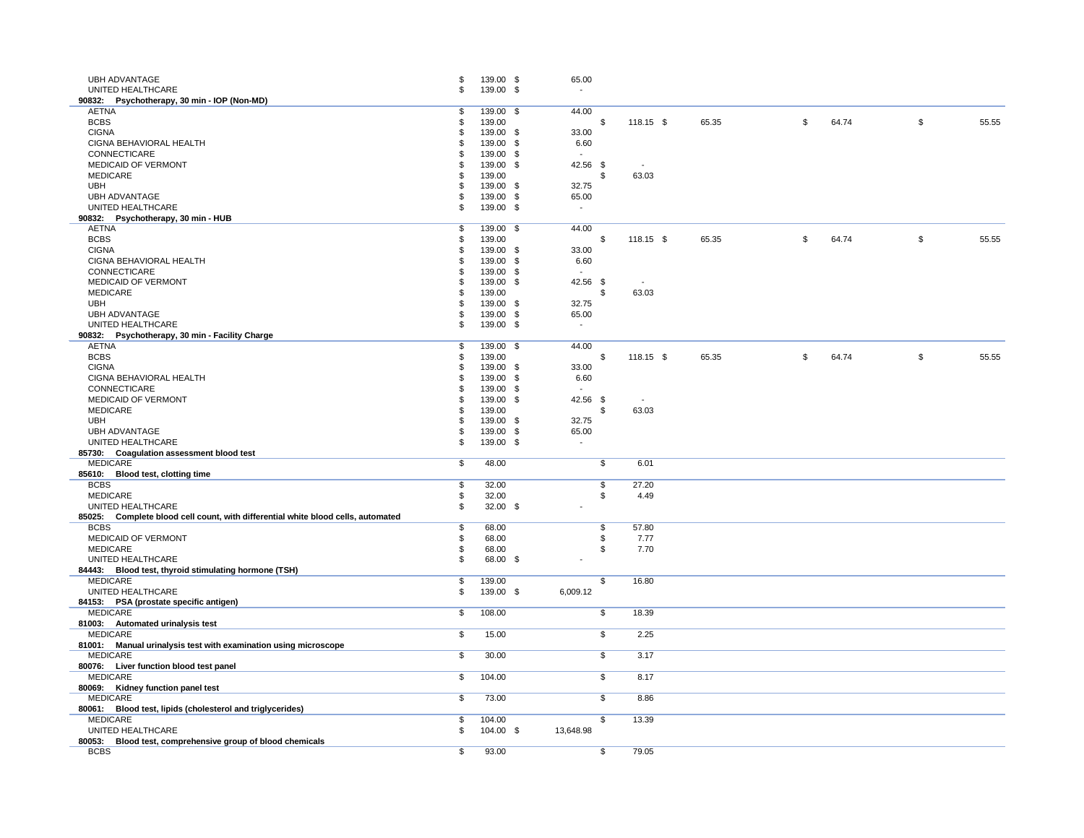| <b>UBH ADVANTAGE</b>                                                             | S                         | 139.00 \$ | 65.00                     |                      |       |                            |       |                           |       |
|----------------------------------------------------------------------------------|---------------------------|-----------|---------------------------|----------------------|-------|----------------------------|-------|---------------------------|-------|
| UNITED HEALTHCARE                                                                | \$                        |           |                           |                      |       |                            |       |                           |       |
|                                                                                  |                           | 139.00 \$ |                           |                      |       |                            |       |                           |       |
| 90832: Psychotherapy, 30 min - IOP (Non-MD)                                      |                           |           |                           |                      |       |                            |       |                           |       |
| <b>AETNA</b>                                                                     |                           | 139.00 \$ | 44.00                     |                      |       |                            |       |                           |       |
| <b>BCBS</b>                                                                      |                           | 139.00    |                           | 118.15 $\frac{6}{3}$ | 65.35 | $\mathfrak{S}$             | 64.74 | $\boldsymbol{\mathsf{S}}$ | 55.55 |
| <b>CIGNA</b>                                                                     |                           | 139.00 \$ | 33.00                     |                      |       |                            |       |                           |       |
| CIGNA BEHAVIORAL HEALTH                                                          |                           | 139.00 \$ | 6.60                      |                      |       |                            |       |                           |       |
| CONNECTICARE                                                                     |                           | 139.00 \$ | $\sim$                    |                      |       |                            |       |                           |       |
| <b>MEDICAID OF VERMONT</b>                                                       |                           | 139.00 \$ | 42.56 \$                  | $\sim$               |       |                            |       |                           |       |
| <b>MEDICARE</b>                                                                  |                           | 139.00    | \$                        | 63.03                |       |                            |       |                           |       |
| <b>UBH</b>                                                                       |                           | 139.00 \$ | 32.75                     |                      |       |                            |       |                           |       |
| <b>UBH ADVANTAGE</b>                                                             |                           | 139.00 \$ | 65.00                     |                      |       |                            |       |                           |       |
| UNITED HEALTHCARE                                                                |                           | 139.00 \$ | $\sim$                    |                      |       |                            |       |                           |       |
| 90832: Psychotherapy, 30 min - HUB                                               |                           |           |                           |                      |       |                            |       |                           |       |
| <b>AETNA</b>                                                                     | \$                        | 139.00 \$ | 44.00                     |                      |       |                            |       |                           |       |
| <b>BCBS</b>                                                                      |                           | 139.00    | \$                        | $118.15$ \$          | 65.35 | $\boldsymbol{\mathsf{\$}}$ | 64.74 | \$                        | 55.55 |
| <b>CIGNA</b>                                                                     |                           | 139.00 \$ | 33.00                     |                      |       |                            |       |                           |       |
| CIGNA BEHAVIORAL HEALTH                                                          |                           | 139.00 \$ | 6.60                      |                      |       |                            |       |                           |       |
| CONNECTICARE                                                                     |                           | 139.00 \$ | $\sim$                    |                      |       |                            |       |                           |       |
| <b>MEDICAID OF VERMONT</b>                                                       |                           | 139.00 \$ | 42.56 \$                  | $\sim$               |       |                            |       |                           |       |
| <b>MEDICARE</b>                                                                  |                           | 139.00    | \$.                       | 63.03                |       |                            |       |                           |       |
| <b>UBH</b>                                                                       |                           | 139.00 \$ | 32.75                     |                      |       |                            |       |                           |       |
| <b>UBH ADVANTAGE</b>                                                             |                           | 139.00 \$ | 65.00                     |                      |       |                            |       |                           |       |
| UNITED HEALTHCARE                                                                |                           | 139.00 \$ |                           |                      |       |                            |       |                           |       |
| 90832: Psychotherapy, 30 min - Facility Charge                                   |                           |           |                           |                      |       |                            |       |                           |       |
| <b>AETNA</b>                                                                     |                           |           | 44.00                     |                      |       |                            |       |                           |       |
|                                                                                  |                           | 139.00 \$ |                           |                      |       |                            |       |                           |       |
| <b>BCBS</b>                                                                      |                           | 139.00    | -S                        | $118.15$ \$          | 65.35 | $\frac{1}{2}$              | 64.74 | \$                        | 55.55 |
| <b>CIGNA</b>                                                                     |                           | 139.00 \$ | 33.00                     |                      |       |                            |       |                           |       |
| CIGNA BEHAVIORAL HEALTH                                                          |                           | 139.00 \$ | 6.60                      |                      |       |                            |       |                           |       |
| CONNECTICARE                                                                     |                           | 139.00 \$ | $\sim$                    |                      |       |                            |       |                           |       |
| <b>MEDICAID OF VERMONT</b>                                                       |                           | 139.00 \$ | 42.56 \$                  |                      |       |                            |       |                           |       |
| <b>MEDICARE</b>                                                                  |                           | 139.00    | \$                        | 63.03                |       |                            |       |                           |       |
| <b>UBH</b>                                                                       |                           | 139.00 \$ | 32.75                     |                      |       |                            |       |                           |       |
| <b>UBH ADVANTAGE</b>                                                             |                           | 139.00 \$ | 65.00                     |                      |       |                            |       |                           |       |
| UNITED HEALTHCARE                                                                |                           | 139.00 \$ | $\sim$                    |                      |       |                            |       |                           |       |
| 85730: Coagulation assessment blood test                                         |                           |           |                           |                      |       |                            |       |                           |       |
| <b>MEDICARE</b>                                                                  | $\boldsymbol{\mathsf{S}}$ | 48.00     | $\boldsymbol{\mathsf{S}}$ | 6.01                 |       |                            |       |                           |       |
| 85610: Blood test, clotting time                                                 |                           |           |                           |                      |       |                            |       |                           |       |
| <b>BCBS</b>                                                                      |                           | 32.00     | \$                        | 27.20                |       |                            |       |                           |       |
| <b>MEDICARE</b>                                                                  |                           | 32.00     | \$                        | 4.49                 |       |                            |       |                           |       |
| UNITED HEALTHCARE                                                                |                           | 32.00 $$$ |                           |                      |       |                            |       |                           |       |
| 85025: Complete blood cell count, with differential white blood cells, automated |                           |           |                           |                      |       |                            |       |                           |       |
| <b>BCBS</b>                                                                      |                           | 68.00     | \$.                       | 57.80                |       |                            |       |                           |       |
| <b>MEDICAID OF VERMONT</b>                                                       |                           | 68.00     |                           | 7.77                 |       |                            |       |                           |       |
| <b>MEDICARE</b>                                                                  |                           | 68.00     |                           | 7.70                 |       |                            |       |                           |       |
| UNITED HEALTHCARE                                                                |                           |           |                           |                      |       |                            |       |                           |       |
|                                                                                  |                           | 68.00 \$  | $\sim$                    |                      |       |                            |       |                           |       |
| 84443: Blood test, thyroid stimulating hormone (TSH)                             |                           |           |                           |                      |       |                            |       |                           |       |
| <b>MEDICARE</b>                                                                  | \$.                       | 139.00    | \$                        | 16.80                |       |                            |       |                           |       |
| UNITED HEALTHCARE                                                                | £.                        | 139.00 \$ | 6,009.12                  |                      |       |                            |       |                           |       |
| 84153: PSA (prostate specific antigen)                                           |                           |           |                           |                      |       |                            |       |                           |       |
| <b>MEDICARE</b>                                                                  | \$                        | 108.00    | $\boldsymbol{\mathsf{S}}$ | 18.39                |       |                            |       |                           |       |
| 81003: Automated urinalysis test                                                 |                           |           |                           |                      |       |                            |       |                           |       |
| <b>MEDICARE</b>                                                                  | \$                        | 15.00     | $\sqrt[6]{2}$             | 2.25                 |       |                            |       |                           |       |
| 81001: Manual urinalysis test with examination using microscope                  |                           |           |                           |                      |       |                            |       |                           |       |
| <b>MEDICARE</b>                                                                  | $\boldsymbol{\mathsf{S}}$ | 30.00     | $\boldsymbol{\mathsf{S}}$ | 3.17                 |       |                            |       |                           |       |
| 80076: Liver function blood test panel                                           |                           |           |                           |                      |       |                            |       |                           |       |
| <b>MEDICARE</b>                                                                  | \$                        | 104.00    | $\boldsymbol{\mathsf{S}}$ | 8.17                 |       |                            |       |                           |       |
| 80069: Kidney function panel test                                                |                           |           |                           |                      |       |                            |       |                           |       |
| <b>MEDICARE</b>                                                                  | \$                        | 73.00     | $\boldsymbol{\mathsf{S}}$ | 8.86                 |       |                            |       |                           |       |
| 80061: Blood test, lipids (cholesterol and triglycerides)                        |                           |           |                           |                      |       |                            |       |                           |       |
| <b>MEDICARE</b>                                                                  |                           | 104.00    | $\boldsymbol{\mathsf{S}}$ | 13.39                |       |                            |       |                           |       |
| UNITED HEALTHCARE                                                                |                           | 104.00 \$ | 13,648.98                 |                      |       |                            |       |                           |       |
|                                                                                  |                           |           |                           |                      |       |                            |       |                           |       |
| 80053: Blood test, comprehensive group of blood chemicals                        |                           |           |                           |                      |       |                            |       |                           |       |
| <b>BCBS</b>                                                                      | $\boldsymbol{\mathsf{S}}$ | 93.00     | $\boldsymbol{\mathsf{S}}$ | 79.05                |       |                            |       |                           |       |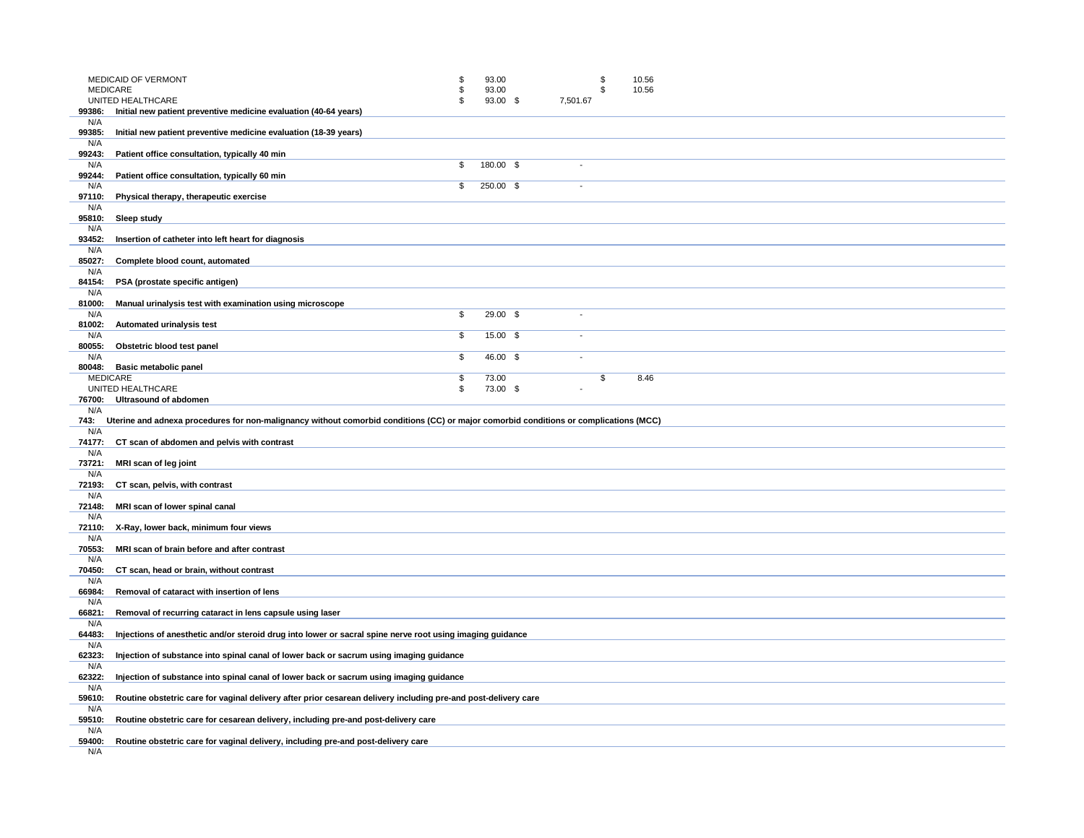|               | <b>MEDICAID OF VERMONT</b><br><b>MEDICARE</b>                                                                                         | \$       | 93.00<br>93.00    |          | \$<br>\$ | 10.56<br>10.56 |  |
|---------------|---------------------------------------------------------------------------------------------------------------------------------------|----------|-------------------|----------|----------|----------------|--|
|               | UNITED HEALTHCARE                                                                                                                     |          | 93.00 \$          | 7,501.67 |          |                |  |
| 99386:<br>N/A | Initial new patient preventive medicine evaluation (40-64 years)                                                                      |          |                   |          |          |                |  |
| 99385:        | Initial new patient preventive medicine evaluation (18-39 years)                                                                      |          |                   |          |          |                |  |
| N/A<br>99243: | Patient office consultation, typically 40 min                                                                                         |          |                   |          |          |                |  |
| N/A           |                                                                                                                                       | \$       | 180.00 \$         |          |          |                |  |
| 99244:<br>N/A | Patient office consultation, typically 60 min                                                                                         | \$       | 250.00 \$         |          |          |                |  |
| 97110:        | Physical therapy, therapeutic exercise                                                                                                |          |                   |          |          |                |  |
| N/A           |                                                                                                                                       |          |                   |          |          |                |  |
| 95810:<br>N/A | <b>Sleep study</b>                                                                                                                    |          |                   |          |          |                |  |
| 93452:        | Insertion of catheter into left heart for diagnosis                                                                                   |          |                   |          |          |                |  |
| N/A<br>85027: | Complete blood count, automated                                                                                                       |          |                   |          |          |                |  |
| N/A           |                                                                                                                                       |          |                   |          |          |                |  |
| 84154:<br>N/A | PSA (prostate specific antigen)                                                                                                       |          |                   |          |          |                |  |
| 81000:        | Manual urinalysis test with examination using microscope                                                                              |          |                   |          |          |                |  |
| N/A<br>81002: | Automated urinalysis test                                                                                                             | \$       | 29.00 \$          |          |          |                |  |
| N/A           |                                                                                                                                       | \$       | 15.00 \$          |          |          |                |  |
| 80055:<br>N/A | Obstetric blood test panel                                                                                                            | \$       | 46.00 \$          |          |          |                |  |
| 80048:        | <b>Basic metabolic panel</b>                                                                                                          |          |                   |          |          |                |  |
|               | <b>MEDICARE</b><br>UNITED HEALTHCARE                                                                                                  | \$<br>\$ | 73.00<br>73.00 \$ |          | \$       | 8.46           |  |
| 76700:        | <b>Ultrasound of abdomen</b>                                                                                                          |          |                   |          |          |                |  |
|               |                                                                                                                                       |          |                   |          |          |                |  |
| N/A           |                                                                                                                                       |          |                   |          |          |                |  |
| 743:<br>N/A   | Uterine and adnexa procedures for non-malignancy without comorbid conditions (CC) or major comorbid conditions or complications (MCC) |          |                   |          |          |                |  |
| 74177:        | CT scan of abdomen and pelvis with contrast                                                                                           |          |                   |          |          |                |  |
| N/A<br>73721: | MRI scan of leg joint                                                                                                                 |          |                   |          |          |                |  |
| N/A           |                                                                                                                                       |          |                   |          |          |                |  |
| 72193:<br>N/A | CT scan, pelvis, with contrast                                                                                                        |          |                   |          |          |                |  |
| 72148:        | MRI scan of lower spinal canal                                                                                                        |          |                   |          |          |                |  |
| N/A<br>72110: | X-Ray, lower back, minimum four views                                                                                                 |          |                   |          |          |                |  |
| N/A           |                                                                                                                                       |          |                   |          |          |                |  |
| 70553:<br>N/A | MRI scan of brain before and after contrast                                                                                           |          |                   |          |          |                |  |
| 70450:        | CT scan, head or brain, without contrast                                                                                              |          |                   |          |          |                |  |
| N/A<br>66984: | Removal of cataract with insertion of lens                                                                                            |          |                   |          |          |                |  |
| N/A           |                                                                                                                                       |          |                   |          |          |                |  |
| 66821:        | Removal of recurring cataract in lens capsule using laser                                                                             |          |                   |          |          |                |  |
| N/A<br>64483: | Injections of anesthetic and/or steroid drug into lower or sacral spine nerve root using imaging guidance                             |          |                   |          |          |                |  |
| N/A           |                                                                                                                                       |          |                   |          |          |                |  |
| 62323:<br>N/A | Injection of substance into spinal canal of lower back or sacrum using imaging guidance                                               |          |                   |          |          |                |  |
| 62322:        | Injection of substance into spinal canal of lower back or sacrum using imaging guidance                                               |          |                   |          |          |                |  |
| N/A<br>59610: | Routine obstetric care for vaginal delivery after prior cesarean delivery including pre-and post-delivery care                        |          |                   |          |          |                |  |
| N/A           |                                                                                                                                       |          |                   |          |          |                |  |
| 59510:<br>N/A | Routine obstetric care for cesarean delivery, including pre-and post-delivery care                                                    |          |                   |          |          |                |  |
| 59400:<br>N/A | Routine obstetric care for vaginal delivery, including pre-and post-delivery care                                                     |          |                   |          |          |                |  |